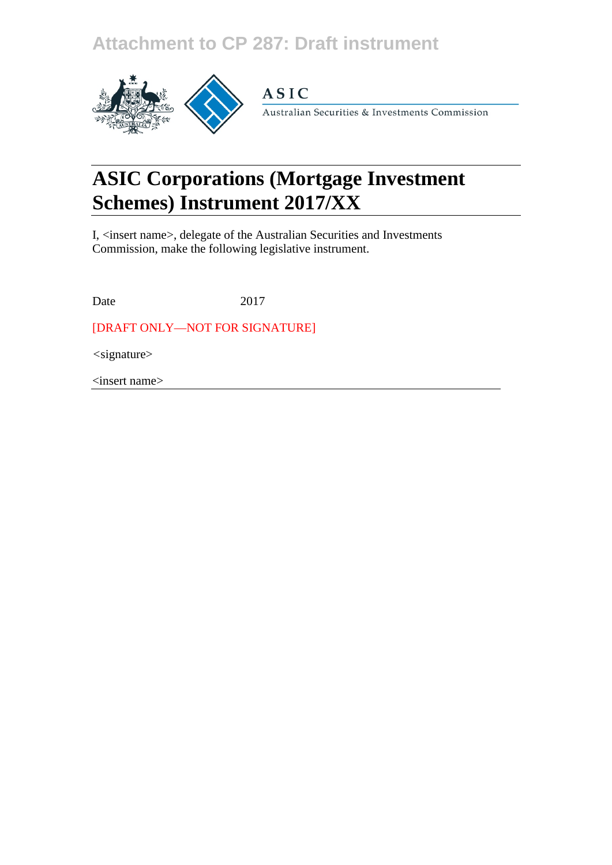## **Attachment to CP 287: Draft instrument**



## **ASIC**

Australian Securities & Investments Commission

# **ASIC Corporations (Mortgage Investment Schemes) Instrument 2017/XX**

I, <insert name>, delegate of the Australian Securities and Investments Commission, make the following legislative instrument.

Date 2017

[DRAFT ONLY—NOT FOR SIGNATURE]

*<*signature>

<insert name>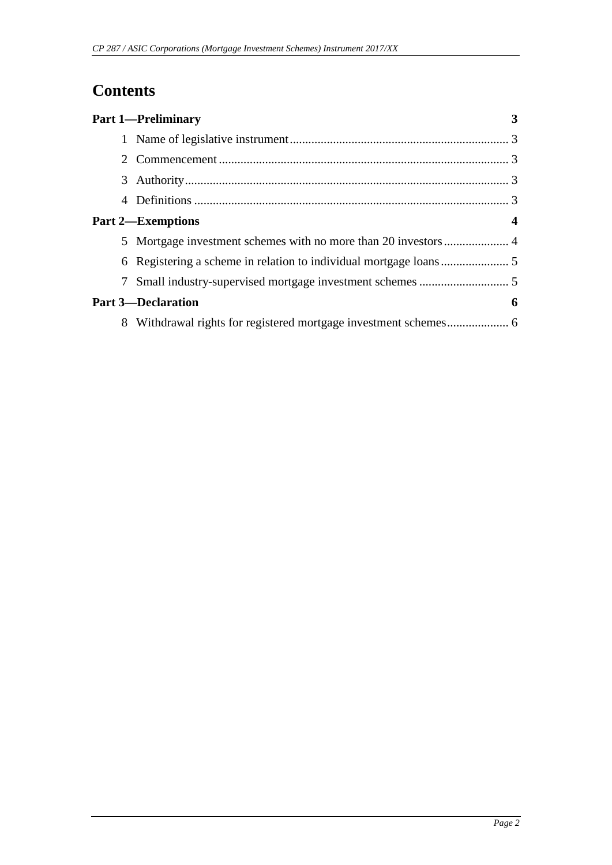## **Contents**

|   | <b>Part 1-Preliminary</b> |   |
|---|---------------------------|---|
|   |                           |   |
|   |                           |   |
|   |                           |   |
| 4 |                           |   |
|   | <b>Part 2—Exemptions</b>  | 4 |
|   |                           |   |
|   |                           |   |
|   |                           |   |
|   | <b>Part 3-Declaration</b> | 6 |
| 8 |                           |   |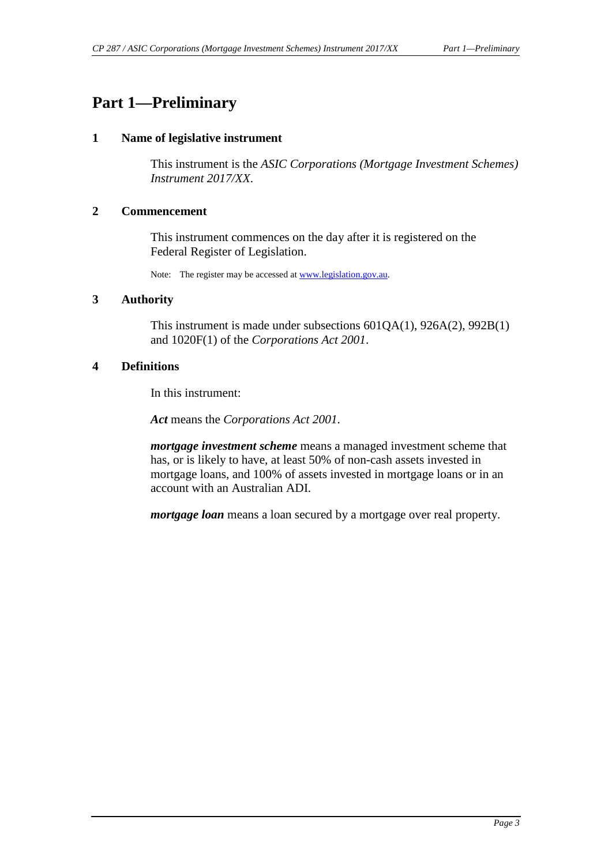### <span id="page-2-1"></span><span id="page-2-0"></span>**Part 1—Preliminary**

#### **1 Name of legislative instrument**

This instrument is the *ASIC Corporations (Mortgage Investment Schemes) Instrument 2017/XX*.

#### <span id="page-2-2"></span>**2 Commencement**

This instrument commences on the day after it is registered on the Federal Register of Legislation.

Note: The register may be accessed a[t www.legislation.gov.au.](http://www.legislation.gov.au/)

#### <span id="page-2-3"></span>**3 Authority**

This instrument is made under subsections 601QA(1), 926A(2), 992B(1) and 1020F(1) of the *Corporations Act 2001*.

#### <span id="page-2-4"></span>**4 Definitions**

In this instrument:

*Act* means the *Corporations Act 2001*.

*mortgage investment scheme* means a managed investment scheme that has, or is likely to have, at least 50% of non-cash assets invested in mortgage loans, and 100% of assets invested in mortgage loans or in an account with an Australian ADI.

*mortgage loan* means a loan secured by a mortgage over real property.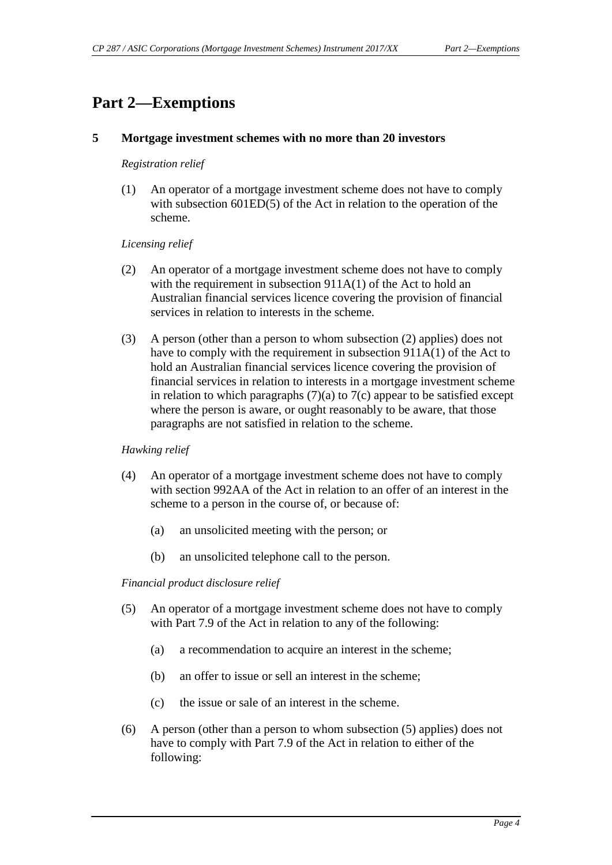### <span id="page-3-1"></span><span id="page-3-0"></span>**Part 2—Exemptions**

#### **5 Mortgage investment schemes with no more than 20 investors**

#### *Registration relief*

(1) An operator of a mortgage investment scheme does not have to comply with subsection 601ED(5) of the Act in relation to the operation of the scheme.

#### *Licensing relief*

- (2) An operator of a mortgage investment scheme does not have to comply with the requirement in subsection 911A(1) of the Act to hold an Australian financial services licence covering the provision of financial services in relation to interests in the scheme.
- (3) A person (other than a person to whom subsection (2) applies) does not have to comply with the requirement in subsection 911A(1) of the Act to hold an Australian financial services licence covering the provision of financial services in relation to interests in a mortgage investment scheme in relation to which paragraphs  $(7)(a)$  to  $7(c)$  appear to be satisfied except where the person is aware, or ought reasonably to be aware, that those paragraphs are not satisfied in relation to the scheme.

#### *Hawking relief*

- (4) An operator of a mortgage investment scheme does not have to comply with section 992AA of the Act in relation to an offer of an interest in the scheme to a person in the course of, or because of:
	- (a) an unsolicited meeting with the person; or
	- (b) an unsolicited telephone call to the person.

#### *Financial product disclosure relief*

- (5) An operator of a mortgage investment scheme does not have to comply with Part 7.9 of the Act in relation to any of the following:
	- (a) a recommendation to acquire an interest in the scheme;
	- (b) an offer to issue or sell an interest in the scheme;
	- (c) the issue or sale of an interest in the scheme.
- (6) A person (other than a person to whom subsection (5) applies) does not have to comply with Part 7.9 of the Act in relation to either of the following: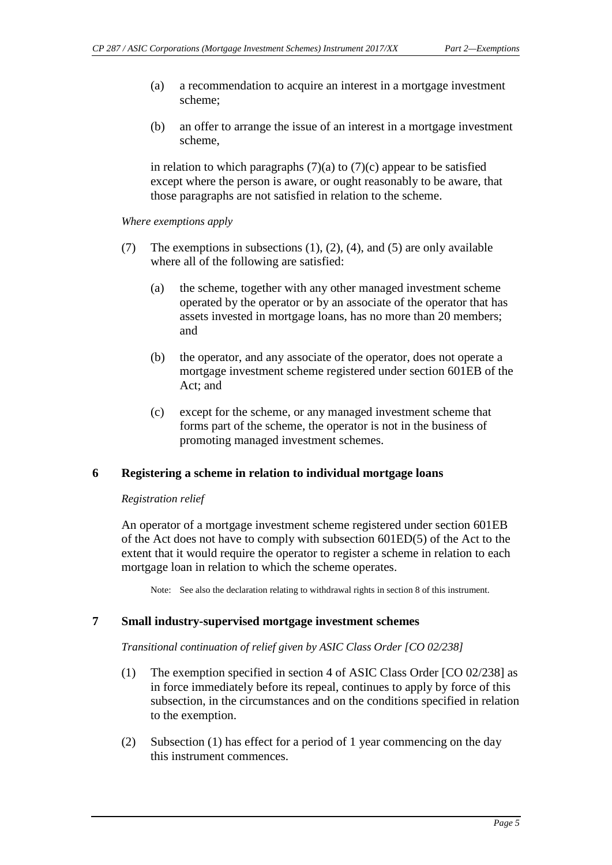- (a) a recommendation to acquire an interest in a mortgage investment scheme;
- (b) an offer to arrange the issue of an interest in a mortgage investment scheme,

in relation to which paragraphs  $(7)(a)$  to  $(7)(c)$  appear to be satisfied except where the person is aware, or ought reasonably to be aware, that those paragraphs are not satisfied in relation to the scheme.

*Where exemptions apply*

- (7) The exemptions in subsections (1), (2), (4), and (5) are only available where all of the following are satisfied:
	- (a) the scheme, together with any other managed investment scheme operated by the operator or by an associate of the operator that has assets invested in mortgage loans, has no more than 20 members; and
	- (b) the operator, and any associate of the operator, does not operate a mortgage investment scheme registered under section 601EB of the Act; and
	- (c) except for the scheme, or any managed investment scheme that forms part of the scheme, the operator is not in the business of promoting managed investment schemes.

#### <span id="page-4-0"></span>**6 Registering a scheme in relation to individual mortgage loans**

#### *Registration relief*

An operator of a mortgage investment scheme registered under section 601EB of the Act does not have to comply with subsection 601ED(5) of the Act to the extent that it would require the operator to register a scheme in relation to each mortgage loan in relation to which the scheme operates.

Note: See also the declaration relating to withdrawal rights in section 8 of this instrument.

#### <span id="page-4-1"></span>**7 Small industry-supervised mortgage investment schemes**

#### *Transitional continuation of relief given by ASIC Class Order [CO 02/238]*

- (1) The exemption specified in section 4 of ASIC Class Order [CO 02/238] as in force immediately before its repeal, continues to apply by force of this subsection, in the circumstances and on the conditions specified in relation to the exemption.
- (2) Subsection (1) has effect for a period of 1 year commencing on the day this instrument commences.